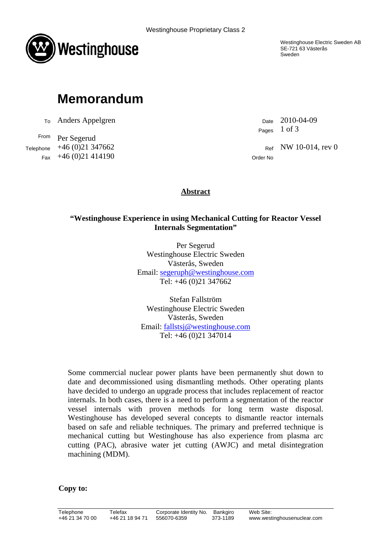



## **Memorandum**

 $T<sub>0</sub>$  Anders Appelgren Date 2010-04-09

From Per Segerud Telephone  $+46 (0)21 347662$  Ref NW 10-014, rev 0  $Fax +46 (0)21 414190$  Order No

Westinghouse Electric Sweden AB SE-721 63 Västerås Sweden

Pages 1 of 3

## **Abstract**

## **"Westinghouse Experience in using Mechanical Cutting for Reactor Vessel Internals Segmentation"**

Per Segerud Westinghouse Electric Sweden Västerås, Sweden Email: segeruph@westinghouse.com Tel: +46 (0)21 347662

Stefan Fallström Westinghouse Electric Sweden Västerås, Sweden Email: fallstsj@westinghouse.com Tel: +46 (0)21 347014

Some commercial nuclear power plants have been permanently shut down to date and decommissioned using dismantling methods. Other operating plants have decided to undergo an upgrade process that includes replacement of reactor internals. In both cases, there is a need to perform a segmentation of the reactor vessel internals with proven methods for long term waste disposal. Westinghouse has developed several concepts to dismantle reactor internals based on safe and reliable techniques. The primary and preferred technique is mechanical cutting but Westinghouse has also experience from plasma arc cutting (PAC), abrasive water jet cutting (AWJC) and metal disintegration machining (MDM).

**Copy to:**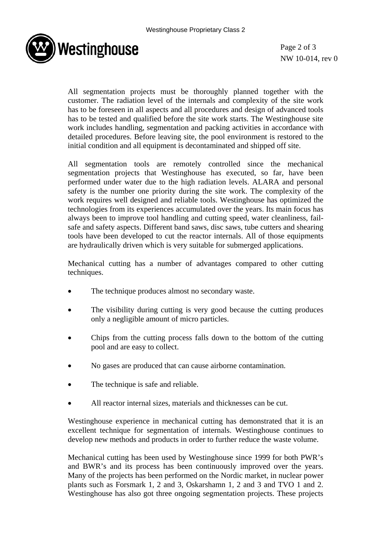

Page 2 of 3 NW 10-014, rev 0

All segmentation projects must be thoroughly planned together with the customer. The radiation level of the internals and complexity of the site work has to be foreseen in all aspects and all procedures and design of advanced tools has to be tested and qualified before the site work starts. The Westinghouse site work includes handling, segmentation and packing activities in accordance with detailed procedures. Before leaving site, the pool environment is restored to the initial condition and all equipment is decontaminated and shipped off site.

All segmentation tools are remotely controlled since the mechanical segmentation projects that Westinghouse has executed, so far, have been performed under water due to the high radiation levels. ALARA and personal safety is the number one priority during the site work. The complexity of the work requires well designed and reliable tools. Westinghouse has optimized the technologies from its experiences accumulated over the years. Its main focus has always been to improve tool handling and cutting speed, water cleanliness, failsafe and safety aspects. Different band saws, disc saws, tube cutters and shearing tools have been developed to cut the reactor internals. All of those equipments are hydraulically driven which is very suitable for submerged applications.

Mechanical cutting has a number of advantages compared to other cutting techniques.

- The technique produces almost no secondary waste.
- The visibility during cutting is very good because the cutting produces only a negligible amount of micro particles.
- Chips from the cutting process falls down to the bottom of the cutting pool and are easy to collect.
- No gases are produced that can cause airborne contamination.
- The technique is safe and reliable.
- All reactor internal sizes, materials and thicknesses can be cut.

Westinghouse experience in mechanical cutting has demonstrated that it is an excellent technique for segmentation of internals. Westinghouse continues to develop new methods and products in order to further reduce the waste volume.

Mechanical cutting has been used by Westinghouse since 1999 for both PWR's and BWR's and its process has been continuously improved over the years. Many of the projects has been performed on the Nordic market, in nuclear power plants such as Forsmark 1, 2 and 3, Oskarshamn 1, 2 and 3 and TVO 1 and 2. Westinghouse has also got three ongoing segmentation projects. These projects